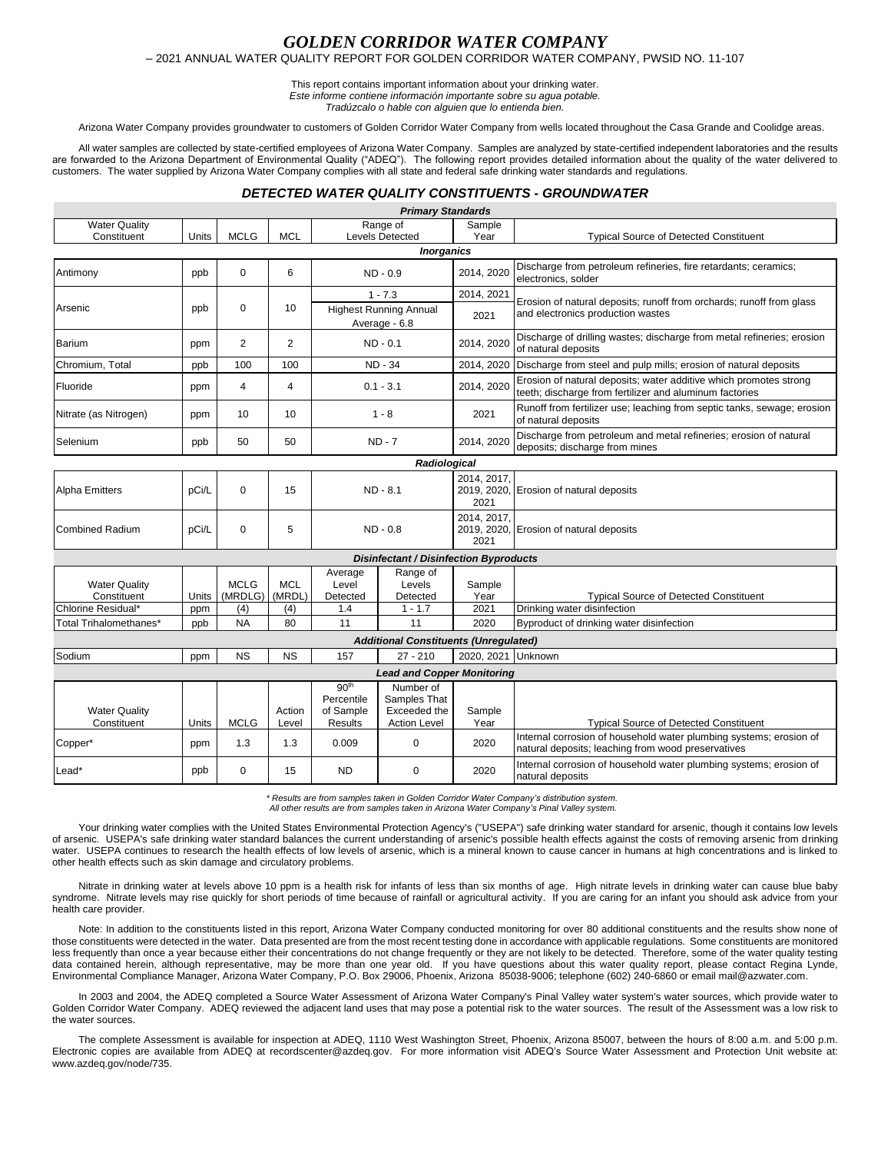### *GOLDEN CORRIDOR WATER COMPANY* – 2021 ANNUAL WATER QUALITY REPORT FOR GOLDEN CORRIDOR WATER COMPANY, PWSID NO. 11-107

# This report contains important information about your drinking water.

*Este informe contiene información importante sobre su agua potable.* 

*Tradúzcalo o hable con alguien que lo entienda bien.*

Arizona Water Company provides groundwater to customers of Golden Corridor Water Company from wells located throughout the Casa Grande and Coolidge areas.

All water samples are collected by state-certified employees of Arizona Water Company. Samples are analyzed by state-certified independent laboratories and the results are forwarded to the Arizona Department of Environmental Quality ("ADEQ"). The following report provides detailed information about the quality of the water delivered to customers. The water supplied by Arizona Water Company complies with all state and federal safe drinking water standards and regulations.

## *DETECTED WATER QUALITY CONSTITUENTS - GROUNDWATER*

|                                                           |              |                               |                             |                                                               | <b>Primary Standards</b>                                         |                        |                                                                                                                              |
|-----------------------------------------------------------|--------------|-------------------------------|-----------------------------|---------------------------------------------------------------|------------------------------------------------------------------|------------------------|------------------------------------------------------------------------------------------------------------------------------|
| <b>Water Quality</b><br>Constituent                       | Units        | <b>MCLG</b>                   | <b>MCL</b>                  | Range of<br>Levels Detected                                   |                                                                  | Sample<br>Year         | <b>Typical Source of Detected Constituent</b>                                                                                |
|                                                           |              |                               |                             |                                                               | <b>Inorganics</b>                                                |                        |                                                                                                                              |
| Antimony                                                  | ppb          | $\mathbf 0$                   | 6                           | $ND - 0.9$                                                    |                                                                  | 2014, 2020             | Discharge from petroleum refineries, fire retardants; ceramics;<br>electronics, solder                                       |
|                                                           | ppb          | $\mathbf 0$                   | 10                          | $1 - 7.3$                                                     |                                                                  | 2014, 2021             | Erosion of natural deposits; runoff from orchards; runoff from glass<br>and electronics production wastes                    |
| Arsenic                                                   |              |                               |                             | <b>Highest Running Annual</b><br>Average - 6.8                |                                                                  | 2021                   |                                                                                                                              |
| Barium                                                    | ppm          | $\overline{2}$                | 2                           | $ND - 0.1$                                                    |                                                                  | 2014, 2020             | Discharge of drilling wastes; discharge from metal refineries; erosion<br>of natural deposits                                |
| Chromium. Total                                           | ppb          | 100                           | 100                         | <b>ND - 34</b>                                                |                                                                  | 2014, 2020             | Discharge from steel and pulp mills; erosion of natural deposits                                                             |
| Fluoride                                                  | ppm          | 4                             | 4                           | $0.1 - 3.1$                                                   |                                                                  | 2014, 2020             | Erosion of natural deposits; water additive which promotes strong<br>teeth; discharge from fertilizer and aluminum factories |
| Nitrate (as Nitrogen)                                     | ppm          | 10                            | 10                          | $1 - 8$                                                       |                                                                  | 2021                   | Runoff from fertilizer use; leaching from septic tanks, sewage; erosion<br>of natural deposits                               |
| Selenium                                                  | ppb          | 50                            | 50                          | $ND - 7$                                                      |                                                                  | 2014, 2020             | Discharge from petroleum and metal refineries; erosion of natural<br>deposits; discharge from mines                          |
| Radiological                                              |              |                               |                             |                                                               |                                                                  |                        |                                                                                                                              |
| <b>Alpha Emitters</b>                                     | pCi/L        | 0                             | 15                          | ND - 8.1                                                      |                                                                  | 2014.2017.<br>2021     | 2019, 2020, Erosion of natural deposits                                                                                      |
| <b>Combined Radium</b>                                    | pCi/L        | $\mathbf 0$                   | 5                           | $ND - 0.8$                                                    |                                                                  | 2014, 2017,<br>2021    | 2019, 2020, Erosion of natural deposits                                                                                      |
| <b>Disinfectant / Disinfection Byproducts</b>             |              |                               |                             |                                                               |                                                                  |                        |                                                                                                                              |
| <b>Water Quality</b><br>Constituent<br>Chlorine Residual* | Units<br>ppm | <b>MCLG</b><br>(MRDLG)<br>(4) | <b>MCL</b><br>(MRDL)<br>(4) | Average<br>Level<br>Detected<br>1.4                           | Range of<br>Levels<br>Detected<br>$1 - 1.7$                      | Sample<br>Year<br>2021 | <b>Typical Source of Detected Constituent</b><br>Drinking water disinfection                                                 |
| Total Trihalomethanes*                                    | ppb          | <b>NA</b>                     | 80                          | 11                                                            | 11                                                               | 2020                   | Byproduct of drinking water disinfection                                                                                     |
| <b>Additional Constituents (Unregulated)</b>              |              |                               |                             |                                                               |                                                                  |                        |                                                                                                                              |
| Sodium                                                    | ppm          | <b>NS</b>                     | <b>NS</b>                   | 157                                                           | $27 - 210$                                                       | 2020, 2021             | Unknown                                                                                                                      |
| <b>Lead and Copper Monitoring</b>                         |              |                               |                             |                                                               |                                                                  |                        |                                                                                                                              |
| <b>Water Quality</b><br>Constituent                       | Units        | <b>MCLG</b>                   | Action<br>Level             | 90 <sup>th</sup><br>Percentile<br>of Sample<br><b>Results</b> | Number of<br>Samples That<br>Exceeded the<br><b>Action Level</b> | Sample<br>Year         | <b>Typical Source of Detected Constituent</b>                                                                                |
| Copper*                                                   | ppm          | 1.3                           | 1.3                         | 0.009                                                         | $\mathbf 0$                                                      | 2020                   | Internal corrosion of household water plumbing systems; erosion of<br>natural deposits; leaching from wood preservatives     |
| Lead*                                                     | ppb          | 0                             | 15                          | <b>ND</b>                                                     | $\Omega$                                                         | 2020                   | Internal corrosion of household water plumbing systems; erosion of<br>natural deposits                                       |

*\* Results are from samples taken in Golden Corridor Water Company's distribution system. All other results are from samples taken in Arizona Water Company's Pinal Valley system.*

Your drinking water complies with the United States Environmental Protection Agency's ("USEPA") safe drinking water standard for arsenic, though it contains low levels of arsenic. USEPA's safe drinking water standard balances the current understanding of arsenic's possible health effects against the costs of removing arsenic from drinking water. USEPA continues to research the health effects of low levels of arsenic, which is a mineral known to cause cancer in humans at high concentrations and is linked to other health effects such as skin damage and circulatory problems.

Nitrate in drinking water at levels above 10 ppm is a health risk for infants of less than six months of age. High nitrate levels in drinking water can cause blue baby syndrome. Nitrate levels may rise quickly for short periods of time because of rainfall or agricultural activity. If you are caring for an infant you should ask advice from your health care provider.

Note: In addition to the constituents listed in this report, Arizona Water Company conducted monitoring for over 80 additional constituents and the results show none of those constituents were detected in the water. Data presented are from the most recent testing done in accordance with applicable regulations. Some constituents are monitored less frequently than once a year because either their concentrations do not change frequently or they are not likely to be detected. Therefore, some of the water quality testing data contained herein, although representative, may be more than one year old. If you have questions about this water quality report, please contact Regina Lynde, Environmental Compliance Manager, Arizona Water Company, P.O. Box 29006, Phoenix, Arizona 85038-9006; telephone (602) 240-6860 or email mail@azwater.com.

In 2003 and 2004, the ADEQ completed a Source Water Assessment of Arizona Water Company's Pinal Valley water system's water sources, which provide water to Golden Corridor Water Company. ADEQ reviewed the adjacent land uses that may pose a potential risk to the water sources. The result of the Assessment was a low risk to the water sources.

The complete Assessment is available for inspection at ADEQ, 1110 West Washington Street, Phoenix, Arizona 85007, between the hours of 8:00 a.m. and 5:00 p.m. Electronic copies are available from ADEQ at recordscenter@azdeq.gov. For more information visit ADEQ's Source Water Assessment and Protection Unit website at: www.azdeq.gov/node/735.